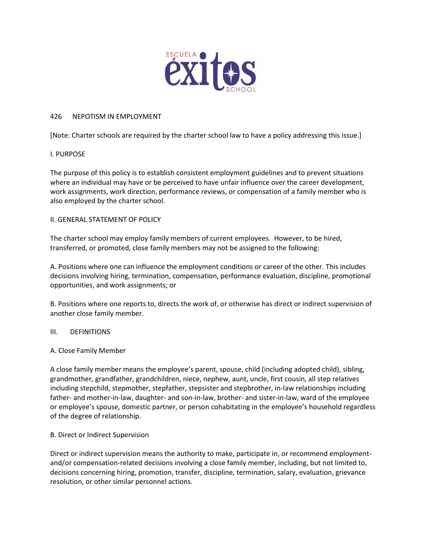

#### 426 NEPOTISM IN EMPLOYMENT

[Note: Charter schools are required by the charter school law to have a policy addressing this issue.]

# I. PURPOSE

The purpose of this policy is to establish consistent employment guidelines and to prevent situations where an individual may have or be perceived to have unfair influence over the career development, work assignments, work direction, performance reviews, or compensation of a family member who is also employed by the charter school.

#### II. GENERAL STATEMENT OF POLICY

The charter school may employ family members of current employees. However, to be hired, transferred, or promoted, close family members may not be assigned to the following:

A. Positions where one can influence the employment conditions or career of the other. This includes decisions involving hiring, termination, compensation, performance evaluation, discipline, promotional opportunities, and work assignments; or

B. Positions where one reports to, directs the work of, or otherwise has direct or indirect supervision of another close family member.

# III. DEFINITIONS

# A. Close Family Member

A close family member means the employee's parent, spouse, child (including adopted child), sibling, grandmother, grandfather, grandchildren, niece, nephew, aunt, uncle, first cousin, all step relatives including stepchild, stepmother, stepfather, stepsister and stepbrother, in-law relationships including father- and mother-in-law, daughter- and son-in-law, brother- and sister-in-law, ward of the employee or employee's spouse, domestic partner, or person cohabitating in the employee's household regardless of the degree of relationship.

# B. Direct or Indirect Supervision

Direct or indirect supervision means the authority to make, participate in, or recommend employmentand/or compensation-related decisions involving a close family member, including, but not limited to, decisions concerning hiring, promotion, transfer, discipline, termination, salary, evaluation, grievance resolution, or other similar personnel actions.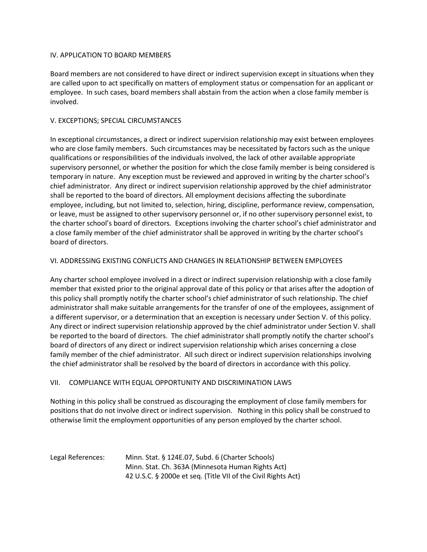#### IV. APPLICATION TO BOARD MEMBERS

Board members are not considered to have direct or indirect supervision except in situations when they are called upon to act specifically on matters of employment status or compensation for an applicant or employee. In such cases, board members shall abstain from the action when a close family member is involved.

#### V. EXCEPTIONS; SPECIAL CIRCUMSTANCES

In exceptional circumstances, a direct or indirect supervision relationship may exist between employees who are close family members. Such circumstances may be necessitated by factors such as the unique qualifications or responsibilities of the individuals involved, the lack of other available appropriate supervisory personnel, or whether the position for which the close family member is being considered is temporary in nature. Any exception must be reviewed and approved in writing by the charter school's chief administrator. Any direct or indirect supervision relationship approved by the chief administrator shall be reported to the board of directors. All employment decisions affecting the subordinate employee, including, but not limited to, selection, hiring, discipline, performance review, compensation, or leave, must be assigned to other supervisory personnel or, if no other supervisory personnel exist, to the charter school's board of directors. Exceptions involving the charter school's chief administrator and a close family member of the chief administrator shall be approved in writing by the charter school's board of directors.

# VI. ADDRESSING EXISTING CONFLICTS AND CHANGES IN RELATIONSHIP BETWEEN EMPLOYEES

Any charter school employee involved in a direct or indirect supervision relationship with a close family member that existed prior to the original approval date of this policy or that arises after the adoption of this policy shall promptly notify the charter school's chief administrator of such relationship. The chief administrator shall make suitable arrangements for the transfer of one of the employees, assignment of a different supervisor, or a determination that an exception is necessary under Section V. of this policy. Any direct or indirect supervision relationship approved by the chief administrator under Section V. shall be reported to the board of directors. The chief administrator shall promptly notify the charter school's board of directors of any direct or indirect supervision relationship which arises concerning a close family member of the chief administrator. All such direct or indirect supervision relationships involving the chief administrator shall be resolved by the board of directors in accordance with this policy.

# VII. COMPLIANCE WITH EQUAL OPPORTUNITY AND DISCRIMINATION LAWS

Nothing in this policy shall be construed as discouraging the employment of close family members for positions that do not involve direct or indirect supervision. Nothing in this policy shall be construed to otherwise limit the employment opportunities of any person employed by the charter school.

| Legal References: | Minn. Stat. § 124E.07, Subd. 6 (Charter Schools)              |
|-------------------|---------------------------------------------------------------|
|                   | Minn. Stat. Ch. 363A (Minnesota Human Rights Act)             |
|                   | 42 U.S.C. § 2000e et seg. (Title VII of the Civil Rights Act) |